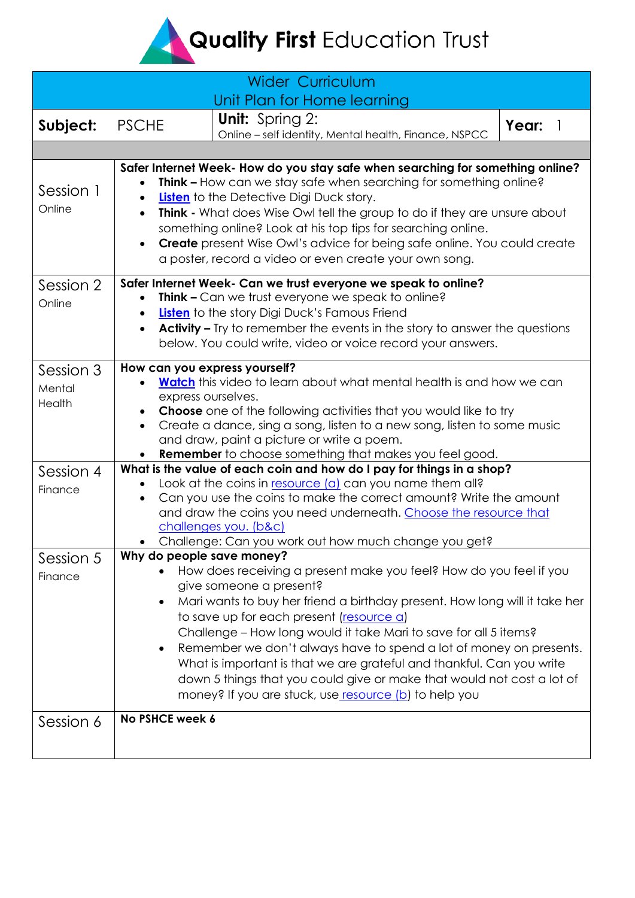Quality First Education Trust

<span id="page-0-0"></span>

| <b>Wider Curriculum</b>       |                                                                                                                                                                                                                                                                                                                                                                                                                                                                                                                                                                                                                                      |                                                                                                                |  |       |  |
|-------------------------------|--------------------------------------------------------------------------------------------------------------------------------------------------------------------------------------------------------------------------------------------------------------------------------------------------------------------------------------------------------------------------------------------------------------------------------------------------------------------------------------------------------------------------------------------------------------------------------------------------------------------------------------|----------------------------------------------------------------------------------------------------------------|--|-------|--|
| Subject:                      | <b>PSCHE</b>                                                                                                                                                                                                                                                                                                                                                                                                                                                                                                                                                                                                                         | Unit Plan for Home learning<br><b>Unit:</b> Spring 2:<br>Online - self identity, Mental health, Finance, NSPCC |  | Year: |  |
|                               |                                                                                                                                                                                                                                                                                                                                                                                                                                                                                                                                                                                                                                      |                                                                                                                |  |       |  |
| Session 1<br>Online           | Safer Internet Week- How do you stay safe when searching for something online?<br><b>Think - How can we stay safe when searching for something online?</b><br>Listen to the Detective Digi Duck story.<br><b>Think -</b> What does Wise Owl tell the group to do if they are unsure about<br>$\bullet$<br>something online? Look at his top tips for searching online.<br><b>Create</b> present Wise Owl's advice for being safe online. You could create<br>$\bullet$<br>a poster, record a video or even create your own song.                                                                                                     |                                                                                                                |  |       |  |
| Session 2<br>Online           | Safer Internet Week- Can we trust everyone we speak to online?<br>Think - Can we trust everyone we speak to online?<br>Listen to the story Digi Duck's Famous Friend<br><b>Activity –</b> Try to remember the events in the story to answer the questions<br>$\bullet$<br>below. You could write, video or voice record your answers.                                                                                                                                                                                                                                                                                                |                                                                                                                |  |       |  |
| Session 3<br>Mental<br>Health | How can you express yourself?<br><b>Watch</b> this video to learn about what mental health is and how we can<br>express ourselves.<br><b>Choose</b> one of the following activities that you would like to try<br>Create a dance, sing a song, listen to a new song, listen to some music<br>$\bullet$<br>and draw, paint a picture or write a poem.<br><b>Remember</b> to choose something that makes you feel good.                                                                                                                                                                                                                |                                                                                                                |  |       |  |
| Session 4<br>Finance          | What is the value of each coin and how do I pay for things in a shop?<br>Look at the coins in resource (a) can you name them all?<br>Can you use the coins to make the correct amount? Write the amount<br>and draw the coins you need underneath. Choose the resource that<br>challenges you. (b&c)<br>Challenge: Can you work out how much change you get?                                                                                                                                                                                                                                                                         |                                                                                                                |  |       |  |
| Session 5<br>Finance          | Why do people save money?<br>How does receiving a present make you feel? How do you feel if you<br>give someone a present?<br>Mari wants to buy her friend a birthday present. How long will it take her<br>$\bullet$<br>to save up for each present (resource a)<br>Challenge - How long would it take Mari to save for all 5 items?<br>Remember we don't always have to spend a lot of money on presents.<br>$\bullet$<br>What is important is that we are grateful and thankful. Can you write<br>down 5 things that you could give or make that would not cost a lot of<br>money? If you are stuck, use resource (b) to help you |                                                                                                                |  |       |  |
| Session 6                     | No PSHCE week 6                                                                                                                                                                                                                                                                                                                                                                                                                                                                                                                                                                                                                      |                                                                                                                |  |       |  |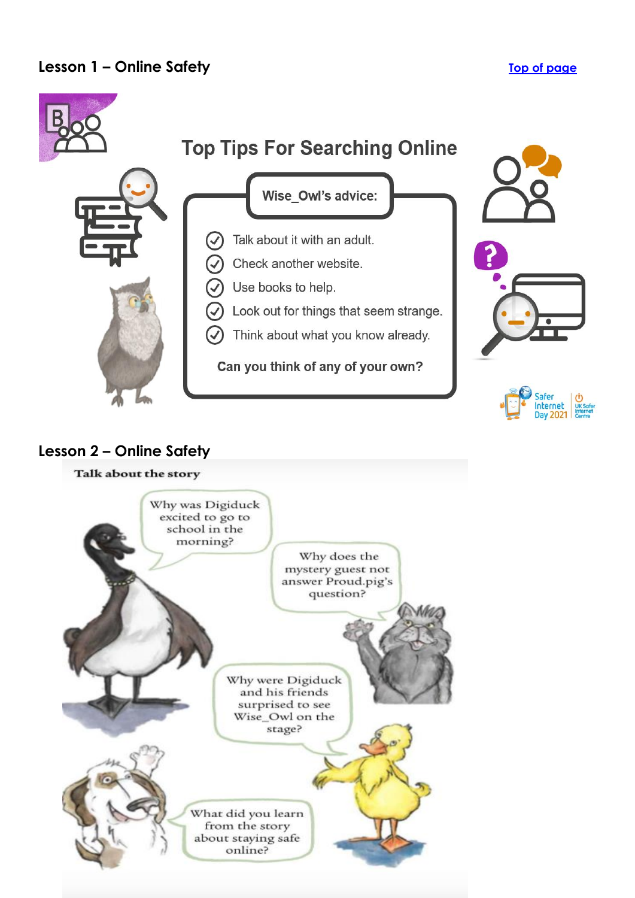

## **Lesson 2 – Online Safety**

## Talk about the story

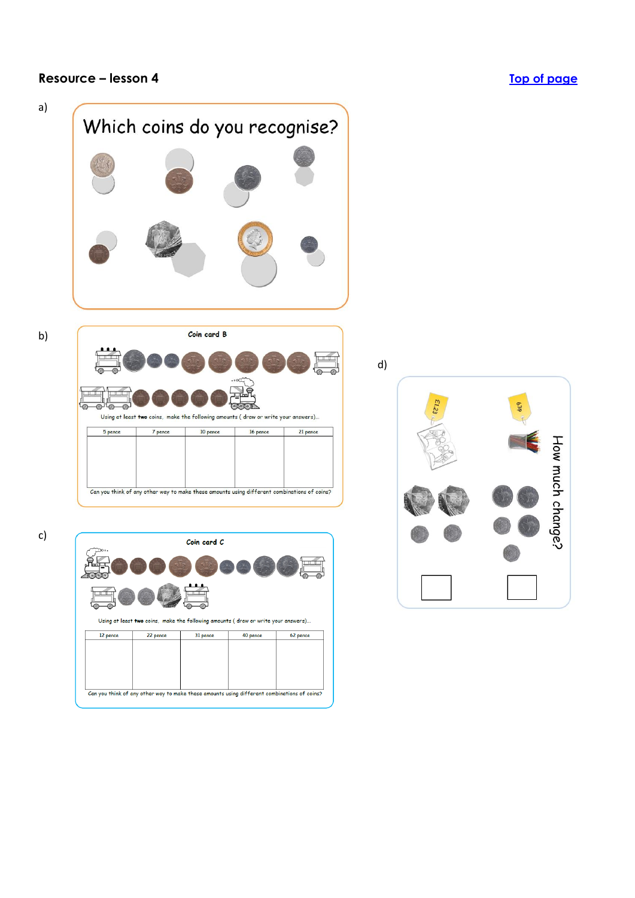## <span id="page-2-0"></span>**Resource – lesson 4 [Top of page](#page-0-0)**



Using at least two coins, make the following amounts (draw or write your answers)...

31 pence

Can you think of any other way to make these amounts using different combinations of coins?

40 pence

62 pence

12 pence

22 pence